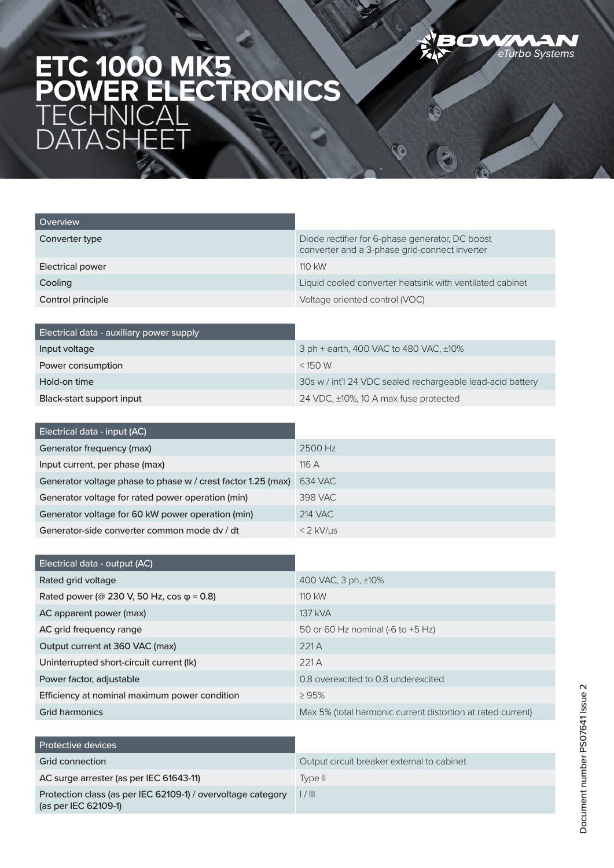

 $\bullet$ 

## **ETC 1000 MK5 POWER ELECTRONICS TECHNICAL** DATASHEET

| Overview                |                                                                                                  |
|-------------------------|--------------------------------------------------------------------------------------------------|
| Converter type          | Diode rectifier for 6-phase generator, DC boost<br>converter and a 3-phase grid-connect inverter |
| <b>Electrical power</b> | $110$ kW                                                                                         |
| Cooling                 | Liquid cooled converter heatsink with ventilated cabinet                                         |
| Control principle       | Voltage oriented control (VOC)                                                                   |

| Electrical data - auxiliary power supply |                                                            |
|------------------------------------------|------------------------------------------------------------|
| Input voltage                            | 3 ph + earth, 400 VAC to 480 VAC, ±10%                     |
| Power consumption                        | $<$ 150 W                                                  |
| Hold-on time                             | 30s w / int'l 24 VDC sealed rechargeable lead-acid battery |
| Black-start support input                | 24 VDC, ±10%, 10 A max fuse protected                      |

| Electrical data - input (AC)                                 |                   |
|--------------------------------------------------------------|-------------------|
| Generator frequency (max)                                    | 2500 Hz           |
| Input current, per phase (max)                               | 116A              |
| Generator voltage phase to phase w / crest factor 1.25 (max) | 634 VAC           |
| Generator voltage for rated power operation (min)            | 398 VAC           |
| Generator voltage for 60 kW power operation (min)            | 214 VAC           |
| Generator-side converter common mode dy / dt                 | $<$ 2 kV/ $\mu$ s |

| Electrical data - output (AC)                     |                                                             |
|---------------------------------------------------|-------------------------------------------------------------|
| Rated grid voltage                                | 400 VAC, 3 ph, ±10%                                         |
| Rated power (@ 230 V, 50 Hz, cos $\varphi$ = 0.8) | $110$ kW                                                    |
| AC apparent power (max)                           | 137 kVA                                                     |
| AC grid frequency range                           | 50 or 60 Hz nominal (-6 to $+5$ Hz)                         |
| Output current at 360 VAC (max)                   | 221A                                                        |
| Uninterrupted short-circuit current (Ik)          | 221A                                                        |
| Power factor, adjustable                          | 0.8 overexcited to 0.8 underexcited                         |
| Efficiency at nominal maximum power condition     | $\geq 95\%$                                                 |
| Grid harmonics                                    | Max 5% (total harmonic current distortion at rated current) |

| <b>Protective devices</b>                                                            |                                            |
|--------------------------------------------------------------------------------------|--------------------------------------------|
| Grid connection                                                                      | Output circuit breaker external to cabinet |
| AC surge arrester (as per IEC 61643-11)                                              | Tvpe II.                                   |
| Protection class (as per IEC 62109-1) / overvoltage category<br>(as per IEC 62109-1) | l / III                                    |